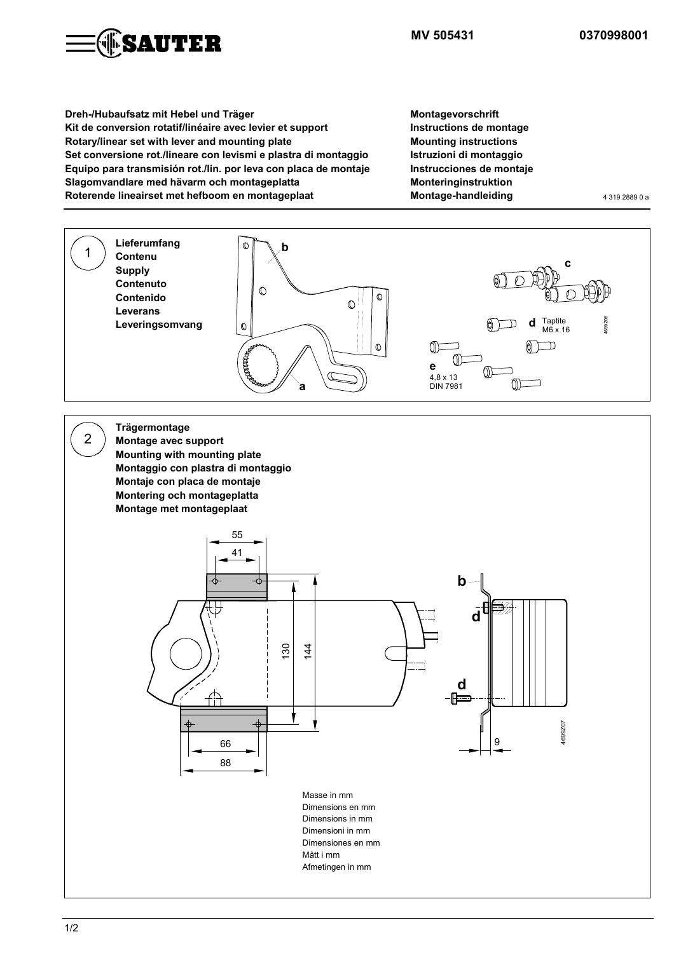

**MV 505431 0370998001**

**Dreh-/Hubaufsatz mit Hebel und Träger Kit de conversion rotatif/linéaire avec levier et support Rotary/linear set with lever and mounting plate Set conversione rot./lineare con levismi e plastra di montaggio Equipo para transmisión rot./lin. por leva con placa de montaje Slagomvandlare med hävarm och montageplatta Roterende lineairset met hefboom en montageplaat** 

**Montagevorschrift Instructions de montage Mounting instructions Istruzioni di montaggio Instrucciones de montaje Monteringinstruktion Montage-handleiding** 4319 2889 0 a